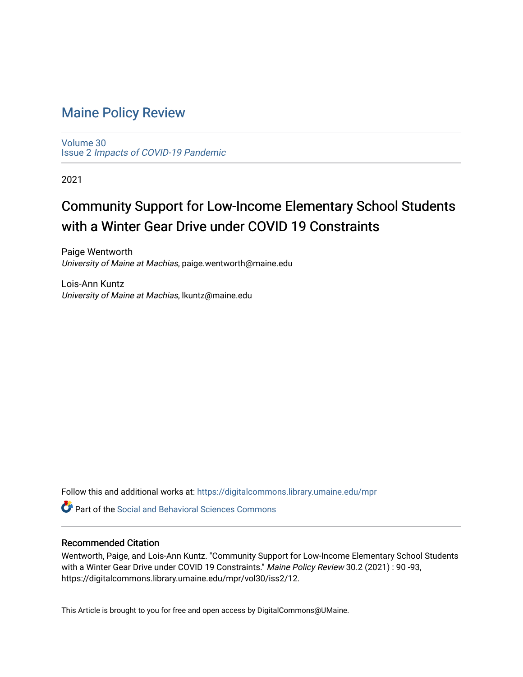# [Maine Policy Review](https://digitalcommons.library.umaine.edu/mpr)

[Volume 30](https://digitalcommons.library.umaine.edu/mpr/vol30) Issue 2 [Impacts of COVID-19 Pandemic](https://digitalcommons.library.umaine.edu/mpr/vol30/iss2)

2021

# Community Support for Low-Income Elementary School Students with a Winter Gear Drive under COVID 19 Constraints

Paige Wentworth University of Maine at Machias, paige.wentworth@maine.edu

Lois-Ann Kuntz University of Maine at Machias, lkuntz@maine.edu

Follow this and additional works at: [https://digitalcommons.library.umaine.edu/mpr](https://digitalcommons.library.umaine.edu/mpr?utm_source=digitalcommons.library.umaine.edu%2Fmpr%2Fvol30%2Fiss2%2F12&utm_medium=PDF&utm_campaign=PDFCoverPages)

**C** Part of the Social and Behavioral Sciences Commons

## Recommended Citation

Wentworth, Paige, and Lois-Ann Kuntz. "Community Support for Low-Income Elementary School Students with a Winter Gear Drive under COVID 19 Constraints." Maine Policy Review 30.2 (2021) : 90 -93, https://digitalcommons.library.umaine.edu/mpr/vol30/iss2/12.

This Article is brought to you for free and open access by DigitalCommons@UMaine.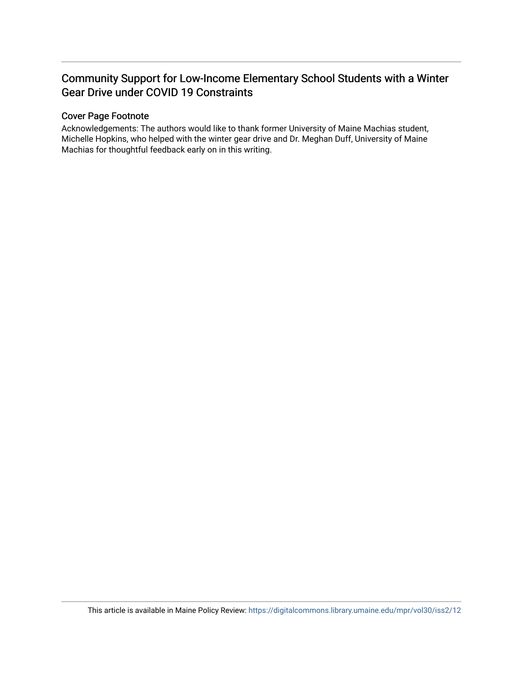# Community Support for Low-Income Elementary School Students with a Winter Gear Drive under COVID 19 Constraints

# Cover Page Footnote

Acknowledgements: The authors would like to thank former University of Maine Machias student, Michelle Hopkins, who helped with the winter gear drive and Dr. Meghan Duff, University of Maine Machias for thoughtful feedback early on in this writing.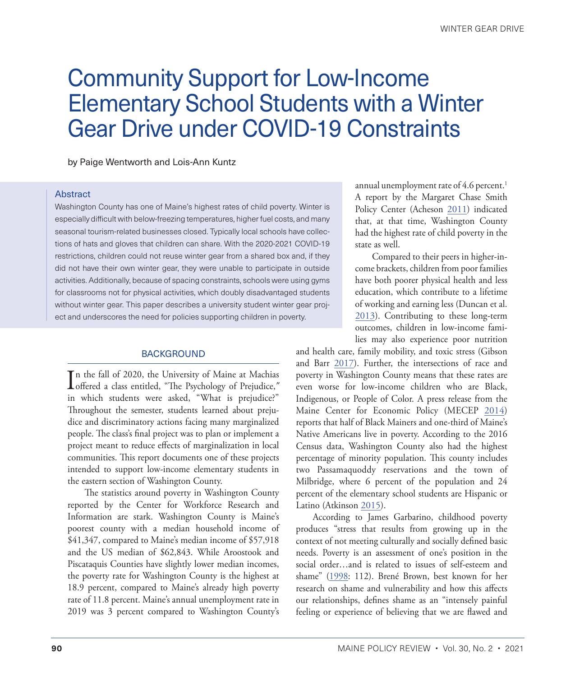# <span id="page-2-0"></span>Community Support for Low-Income Elementary School Students with a Winter Gear Drive under COVID-19 Constraints

by Paige Wentworth and Lois-Ann Kuntz

#### Abstract

Washington County has one of Maine's highest rates of child poverty. Winter is especially difficult with below-freezing temperatures, higher fuel costs, and many seasonal tourism-related businesses closed. Typically local schools have collections of hats and gloves that children can share. With the 2020-2021 COVID-19 restrictions, children could not reuse winter gear from a shared box and, if they did not have their own winter gear, they were unable to participate in outside activities. Additionally, because of spacing constraints, schools were using gyms for classrooms not for physical activities, which doubly disadvantaged students without winter gear. This paper describes a university student winter gear project and underscores the need for policies supporting children in poverty.

#### **BACKGROUND**

In the fall of 2020, the University of Maine at Machias<br>offered a class entitled, "The Psychology of Prejudice," n the fall of 2020, the University of Maine at Machias in which students were asked, "What is prejudice?" Throughout the semester, students learned about prejudice and discriminatory actions facing many marginalized people. The class's final project was to plan or implement a project meant to reduce effects of marginalization in local communities. This report documents one of these projects intended to support low-income elementary students in the eastern section of Washington County.

The statistics around poverty in Washington County reported by the Center for Workforce Research and Information are stark. Washington County is Maine's poorest county with a median household income of \$41,347, compared to Maine's median income of \$57,918 and the US median of \$62,843. While Aroostook and Piscataquis Counties have slightly lower median incomes, the poverty rate for Washington County is the highest at 18.9 percent, compared to Maine's already high poverty rate of 11.8 percent. Maine's annual unemployment rate in 2019 was 3 percent compared to Washington County's

annual unemployment rate of 4.6 percent.<sup>1</sup> A report by the Margaret Chase Smith Policy Center (Acheson [2011](#page-5-0)) indicated that, at that time, Washington County had the highest rate of child poverty in the state as well.

Compared to their peers in higher-income brackets, children from poor families have both poorer physical health and less education, which contribute to a lifetime of working and earning less (Duncan et al. [2013](#page-5-1)). Contributing to these long-term outcomes, children in low-income families may also experience poor nutrition

and health care, family mobility, and toxic stress (Gibson and Barr [2017\)](#page-5-2). Further, the intersections of race and poverty in Washington County means that these rates are even worse for low-income children who are Black, Indigenous, or People of Color. A press release from the Maine Center for Economic Policy (MECEP [2014\)](#page-5-3) reports that half of Black Mainers and one-third of Maine's Native Americans live in poverty. According to the 2016 Census data, Washington County also had the highest percentage of minority population. This county includes two Passamaquoddy reservations and the town of Milbridge, where 6 percent of the population and 24 percent of the elementary school students are Hispanic or Latino (Atkinson [2015](#page-5-4)).

According to James Garbarino, childhood poverty produces "stress that results from growing up in the context of not meeting culturally and socially defined basic needs. Poverty is an assessment of one's position in the social order…and is related to issues of self-esteem and shame" [\(1998](#page-5-5): 112). Brené Brown, best known for her research on shame and vulnerability and how this affects our relationships, defines shame as an "intensely painful feeling or experience of believing that we are flawed and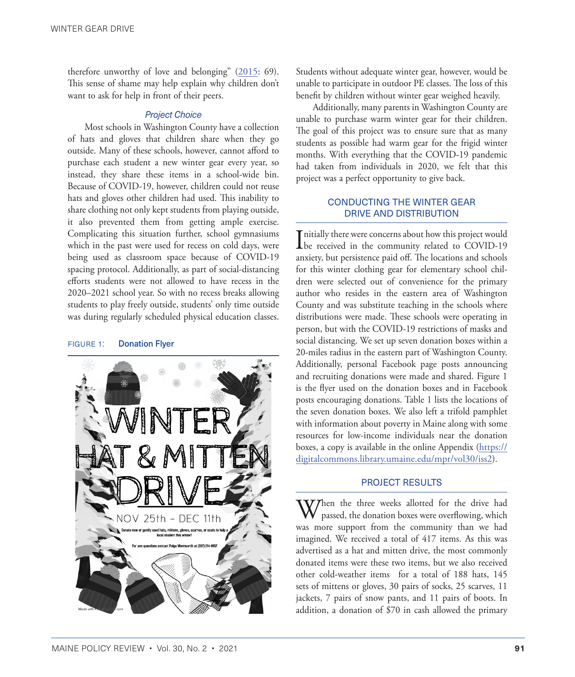therefore unworthy of love and belonging"  $(2015: 69)$  $(2015: 69)$ . This sense of shame may help explain why children don't want to ask for help in front of their peers.

#### *Project Choice*

Most schools in Washington County have a collection of hats and gloves that children share when they go outside. Many of these schools, however, cannot afford to purchase each student a new winter gear every year, so instead, they share these items in a school-wide bin. Because of COVID-19, however, children could not reuse hats and gloves other children had used. This inability to share clothing not only kept students from playing outside, it also prevented them from getting ample exercise. Complicating this situation further, school gymnasiums which in the past were used for recess on cold days, were being used as classroom space because of COVID-19 spacing protocol. Additionally, as part of social-distancing efforts students were not allowed to have recess in the 2020–2021 school year. So with no recess breaks allowing students to play freely outside, students' only time outside was during regularly scheduled physical education classes.

#### FIGURE 1: Donation Flyer



Students without adequate winter gear, however, would be unable to participate in outdoor PE classes. The loss of this benefit by children without winter gear weighed heavily.

Additionally, many parents in Washington County are unable to purchase warm winter gear for their children. The goal of this project was to ensure sure that as many students as possible had warm gear for the frigid winter months. With everything that the COVID-19 pandemic had taken from individuals in 2020, we felt that this project was a perfect opportunity to give back.

## CONDUCTING THE WINTER GEAR DRIVE AND DISTRIBUTION

Initially there were concerns about how this project would<br>be received in the community related to COVID-19 **T** nitially there were concerns about how this project would anxiety, but persistence paid off. The locations and schools for this winter clothing gear for elementary school children were selected out of convenience for the primary author who resides in the eastern area of Washington County and was substitute teaching in the schools where distributions were made. These schools were operating in person, but with the COVID-19 restrictions of masks and social distancing. We set up seven donation boxes within a 20-miles radius in the eastern part of Washington County. Additionally, personal Facebook page posts announcing and recruiting donations were made and shared. Figure 1 is the flyer used on the donation boxes and in Facebook posts encouraging donations. Table 1 lists the locations of the seven donation boxes. We also left a trifold pamphlet with information about poverty in Maine along with some resources for low-income individuals near the donation boxes, a copy is available in the online Appendix ([https://](https://digitalcommons.library.umaine.edu/mpr/vol30/iss2) [digitalcommons.library.umaine.edu/mpr/vol30/iss2\)](https://digitalcommons.library.umaine.edu/mpr/vol30/iss2).

## PROJECT RESULTS

 $\bf V$ *T*hen the three weeks allotted for the drive had passed, the donation boxes were overflowing, which was more support from the community than we had imagined. We received a total of 417 items. As this was advertised as a hat and mitten drive, the most commonly donated items were these two items, but we also received other cold-weather items for a total of 188 hats, 145 sets of mittens or gloves, 30 pairs of socks, 25 scarves, 11 jackets, 7 pairs of snow pants, and 11 pairs of boots. In addition, a donation of \$70 in cash allowed the primary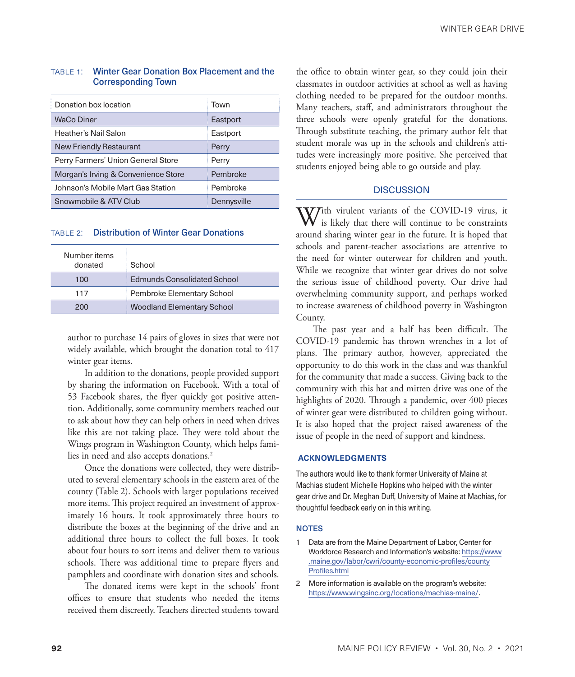| Donation box location               | Town        |
|-------------------------------------|-------------|
| <b>WaCo Diner</b>                   | Eastport    |
| Heather's Nail Salon                | Eastport    |
| <b>New Friendly Restaurant</b>      | Perry       |
| Perry Farmers' Union General Store  | Perry       |
| Morgan's Irving & Convenience Store | Pembroke    |
| Johnson's Mobile Mart Gas Station   | Pembroke    |
| Snowmobile & ATV Club               | Dennysville |

#### <span id="page-4-0"></span>table 1: Winter Gear Donation Box Placement and the Corresponding Town

#### table 2: Distribution of Winter Gear Donations

| Number items<br>donated | School                             |
|-------------------------|------------------------------------|
| 100                     | <b>Edmunds Consolidated School</b> |
| 117                     | Pembroke Elementary School         |
| 200                     | <b>Woodland Elementary School</b>  |

author to purchase 14 pairs of gloves in sizes that were not widely available, which brought the donation total to 417 winter gear items.

In addition to the donations, people provided support by sharing the information on Facebook. With a total of 53 Facebook shares, the flyer quickly got positive attention. Additionally, some community members reached out to ask about how they can help others in need when drives like this are not taking place. They were told about the Wings program in Washington County, which helps families in need and also accepts donations.<sup>2</sup>

Once the donations were collected, they were distributed to several elementary schools in the eastern area of the county (Table 2). Schools with larger populations received more items. This project required an investment of approximately 16 hours. It took approximately three hours to distribute the boxes at the beginning of the drive and an additional three hours to collect the full boxes. It took about four hours to sort items and deliver them to various schools. There was additional time to prepare flyers and pamphlets and coordinate with donation sites and schools.

The donated items were kept in the schools' front offices to ensure that students who needed the items received them discreetly. Teachers directed students toward

the office to obtain winter gear, so they could join their classmates in outdoor activities at school as well as having clothing needed to be prepared for the outdoor months. Many teachers, staff, and administrators throughout the three schools were openly grateful for the donations. Through substitute teaching, the primary author felt that student morale was up in the schools and children's attitudes were increasingly more positive. She perceived that students enjoyed being able to go outside and play.

### **DISCUSSION**

 $\Delta V$ ith virulent variants of the COVID-19 virus, it is likely that there will continue to be constraints around sharing winter gear in the future. It is hoped that schools and parent-teacher associations are attentive to the need for winter outerwear for children and youth. While we recognize that winter gear drives do not solve the serious issue of childhood poverty. Our drive had overwhelming community support, and perhaps worked to increase awareness of childhood poverty in Washington County.

The past year and a half has been difficult. The COVID-19 pandemic has thrown wrenches in a lot of plans. The primary author, however, appreciated the opportunity to do this work in the class and was thankful for the community that made a success. Giving back to the community with this hat and mitten drive was one of the highlights of 2020. Through a pandemic, over 400 pieces of winter gear were distributed to children going without. It is also hoped that the project raised awareness of the issue of people in the need of support and kindness.

#### **ACKNOWLEDGMENTS**

The authors would like to thank former University of Maine at Machias student Michelle Hopkins who helped with the winter gear drive and Dr. Meghan Duff, University of Maine at Machias, for thoughtful feedback early on in this writing.

#### **NOTES**

- [1](#page-2-0) Data are from the Maine Department of Labor, Center for Workforce Research and Information's website: [https://www](https://www.maine.gov/labor/cwri/county-economic-profiles/countyProfiles.html) [.maine.gov/labor/cwri/county-economic-profiles/county](https://www.maine.gov/labor/cwri/county-economic-profiles/countyProfiles.html) [Profiles.html](https://www.maine.gov/labor/cwri/county-economic-profiles/countyProfiles.html)
- 2 More information is available on the program's website: <https://www.wingsinc.org/locations/machias-maine/>.